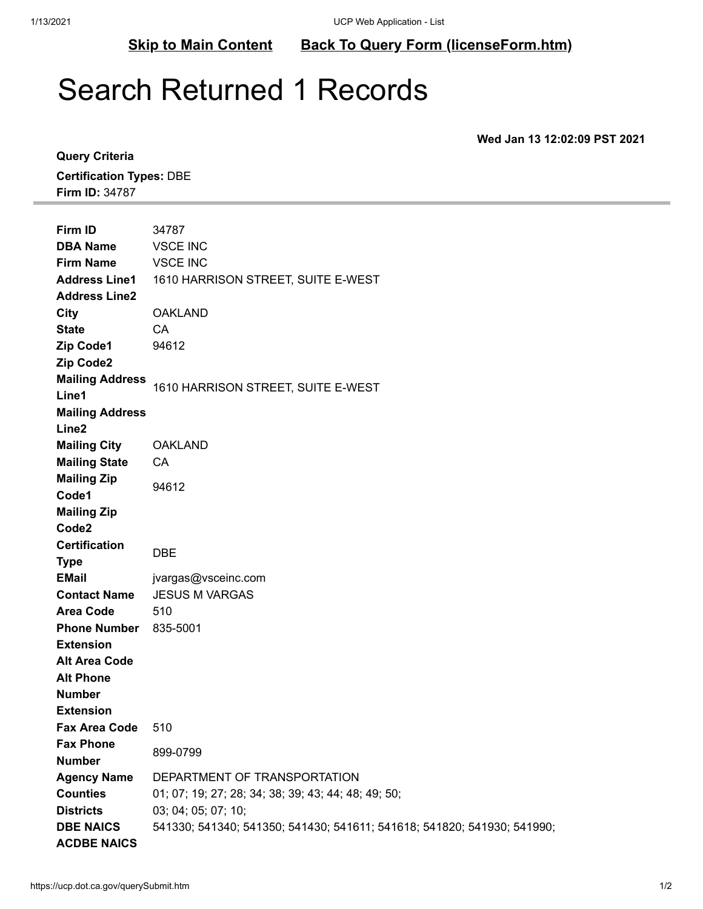**[Skip to Main Content](#page-0-0) [Back To Query Form \(licenseForm.htm\)](https://ucp.dot.ca.gov/licenseForm.htm)**

## <span id="page-0-0"></span>Search Returned 1 Records

**Wed Jan 13 12:02:09 PST 2021**

**Query Criteria Certification Types:** DBE **Firm ID:** 34787

| Firm ID                                     | 34787                                                                   |
|---------------------------------------------|-------------------------------------------------------------------------|
| <b>DBA Name</b>                             | <b>VSCE INC</b>                                                         |
| <b>Firm Name</b>                            | <b>VSCE INC</b>                                                         |
| <b>Address Line1</b>                        | 1610 HARRISON STREET, SUITE E-WEST                                      |
| <b>Address Line2</b>                        |                                                                         |
| City                                        | <b>OAKLAND</b>                                                          |
| <b>State</b>                                | CA.                                                                     |
| Zip Code1                                   | 94612                                                                   |
| Zip Code2                                   |                                                                         |
| <b>Mailing Address</b><br>Line1             | 1610 HARRISON STREET, SUITE E-WEST                                      |
|                                             |                                                                         |
| <b>Mailing Address</b><br>Line <sub>2</sub> |                                                                         |
| <b>Mailing City</b>                         | <b>OAKLAND</b>                                                          |
| <b>Mailing State</b>                        | CA                                                                      |
| <b>Mailing Zip</b>                          |                                                                         |
| Code1                                       | 94612                                                                   |
| <b>Mailing Zip</b>                          |                                                                         |
| Code <sub>2</sub>                           |                                                                         |
| <b>Certification</b>                        |                                                                         |
| <b>Type</b>                                 | <b>DBE</b>                                                              |
| <b>EMail</b>                                | jvargas@vsceinc.com                                                     |
| <b>Contact Name</b>                         | <b>JESUS M VARGAS</b>                                                   |
| <b>Area Code</b>                            | 510                                                                     |
| <b>Phone Number</b>                         | 835-5001                                                                |
| <b>Extension</b>                            |                                                                         |
| <b>Alt Area Code</b>                        |                                                                         |
| <b>Alt Phone</b>                            |                                                                         |
| <b>Number</b>                               |                                                                         |
| <b>Extension</b>                            |                                                                         |
| <b>Fax Area Code</b>                        | 510                                                                     |
| <b>Fax Phone</b>                            | 899-0799                                                                |
| <b>Number</b>                               |                                                                         |
| <b>Agency Name</b>                          | DEPARTMENT OF TRANSPORTATION                                            |
| <b>Counties</b>                             | 01; 07; 19; 27; 28; 34; 38; 39; 43; 44; 48; 49; 50;                     |
| <b>Districts</b>                            | 03; 04; 05; 07; 10;                                                     |
| <b>DBE NAICS</b><br><b>ACDBE NAICS</b>      | 541330; 541340; 541350; 541430; 541611; 541618; 541820; 541930; 541990; |
|                                             |                                                                         |